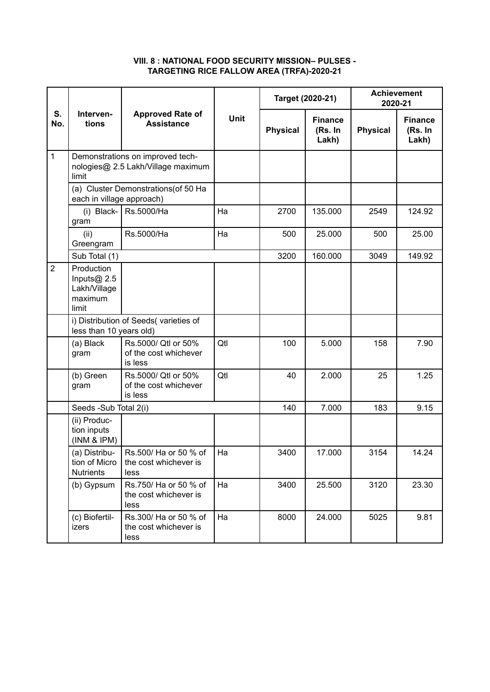## **VIII. 8 : NATIONAL FOOD SECURITY MISSION– PULSES - TARGETING RICE FALLOW AREA (TRFA)-2020-21**

|                | Interven-<br>tions                                               | <b>Approved Rate of</b><br><b>Assistance</b>                           | Unit | Target (2020-21) |                                    | <b>Achievement</b><br>2020-21 |                                    |
|----------------|------------------------------------------------------------------|------------------------------------------------------------------------|------|------------------|------------------------------------|-------------------------------|------------------------------------|
| S.<br>No.      |                                                                  |                                                                        |      | <b>Physical</b>  | <b>Finance</b><br>(Rs. In<br>Lakh) | <b>Physical</b>               | <b>Finance</b><br>(Rs. In<br>Lakh) |
| $\mathbf{1}$   | limit                                                            | Demonstrations on improved tech-<br>nologies@ 2.5 Lakh/Village maximum |      |                  |                                    |                               |                                    |
|                | (a) Cluster Demonstrations(of 50 Ha<br>each in village approach) |                                                                        |      |                  |                                    |                               |                                    |
|                | (i) Black-<br>gram                                               | Rs.5000/Ha                                                             | Ha   | 2700             | 135.000                            | 2549                          | 124.92                             |
|                | (ii)<br>Greengram                                                | Rs.5000/Ha                                                             | Ha   | 500              | 25.000                             | 500                           | 25.00                              |
|                | Sub Total (1)                                                    |                                                                        |      | 3200             | 160.000                            | 3049                          | 149.92                             |
| $\overline{2}$ | Production<br>Inputs $@$ 2.5<br>Lakh/Village<br>maximum<br>limit |                                                                        |      |                  |                                    |                               |                                    |
|                | i) Distribution of Seeds(varieties of<br>less than 10 years old) |                                                                        |      |                  |                                    |                               |                                    |
|                | (a) Black<br>gram                                                | Rs.5000/ Qtl or 50%<br>of the cost whichever<br>is less                | Qtl  | 100              | 5.000                              | 158                           | 7.90                               |
|                | (b) Green<br>gram                                                | Rs.5000/ Qtl or 50%<br>of the cost whichever<br>is less                | Qtl  | 40               | 2.000                              | 25                            | 1.25                               |
|                | Seeds -Sub Total 2(i)                                            |                                                                        |      | 140              | 7.000                              | 183                           | 9.15                               |
|                | (ii) Produc-<br>tion inputs<br>(INM & IPM)                       |                                                                        |      |                  |                                    |                               |                                    |
|                | (a) Distribu-<br>tion of Micro<br><b>Nutrients</b>               | Rs. 500/ Ha or 50 % of<br>the cost whichever is<br>less                | Ha   | 3400             | 17.000                             | 3154                          | 14.24                              |
|                | (b) Gypsum                                                       | Rs.750/ Ha or 50 % of<br>the cost whichever is<br>less                 | Ha   | 3400             | 25.500                             | 3120                          | 23.30                              |
|                | (c) Biofertil-<br>izers                                          | Rs.300/ Ha or 50 % of<br>the cost whichever is<br>less                 | Ha   | 8000             | 24.000                             | 5025                          | 9.81                               |